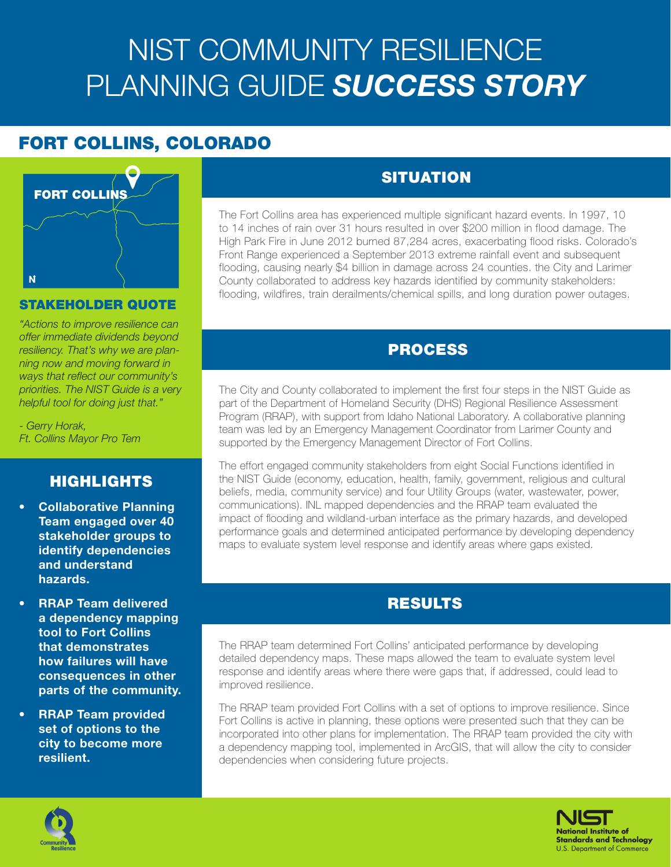# NIST COMMUNITY RESILIENCE PLANNING GUIDE *SUCCESS STORY*

# FORT COLLINS, COLORADO



### STAKEHOLDER QUOTE

*"Actions to improve resilience can offer immediate dividends beyond resiliency. That's why we are planning now and moving forward in ways that reflect our community's priorities. The NIST Guide is a very helpful tool for doing just that."*

*- Gerry Horak, Ft. Collins Mayor Pro Tem*

# HIGHLIGHTS

- Collaborative Planning Team engaged over 40 stakeholder groups to identify dependencies and understand hazards.
- RRAP Team delivered a dependency mapping tool to Fort Collins that demonstrates how failures will have consequences in other parts of the community.
- RRAP Team provided set of options to the city to become more resilient.

# **SITUATION**

The Fort Collins area has experienced multiple significant hazard events. In 1997, 10 to 14 inches of rain over 31 hours resulted in over \$200 million in flood damage. The High Park Fire in June 2012 burned 87,284 acres, exacerbating flood risks. Colorado's Front Range experienced a September 2013 extreme rainfall event and subsequent flooding, causing nearly \$4 billion in damage across 24 counties. the City and Larimer County collaborated to address key hazards identified by community stakeholders: flooding, wildfires, train derailments/chemical spills, and long duration power outages.

# PROCESS

The City and County collaborated to implement the first four steps in the NIST Guide as part of the Department of Homeland Security (DHS) Regional Resilience Assessment Program (RRAP), with support from Idaho National Laboratory. A collaborative planning team was led by an Emergency Management Coordinator from Larimer County and supported by the Emergency Management Director of Fort Collins.

The effort engaged community stakeholders from eight Social Functions identified in the NIST Guide (economy, education, health, family, government, religious and cultural beliefs, media, community service) and four Utility Groups (water, wastewater, power, communications). INL mapped dependencies and the RRAP team evaluated the impact of flooding and wildland-urban interface as the primary hazards, and developed performance goals and determined anticipated performance by developing dependency maps to evaluate system level response and identify areas where gaps existed.

# RESULTS

The RRAP team determined Fort Collins' anticipated performance by developing detailed dependency maps. These maps allowed the team to evaluate system level response and identify areas where there were gaps that, if addressed, could lead to improved resilience.

The RRAP team provided Fort Collins with a set of options to improve resilience. Since Fort Collins is active in planning, these options were presented such that they can be incorporated into other plans for implementation. The RRAP team provided the city with a dependency mapping tool, implemented in ArcGIS, that will allow the city to consider dependencies when considering future projects.